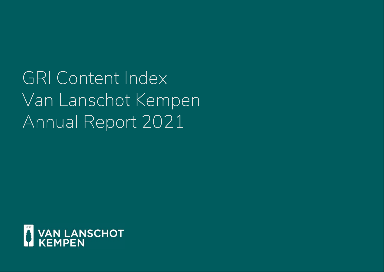GRI Content Index Van Lanschot Kempen Annual Report 2021

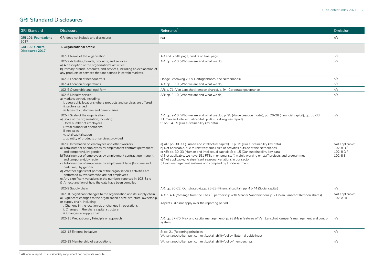## **GRI Standard Disclosures**

| <b>GRI Standard</b>                         | <b>Disclosure</b>                                                                                                                                                                                                                                                                                                                                                                                                                                                                                                                                                                            | Reference <sup>1</sup>                                                                                                                                                                                                                                                                                                                                                                                                                                                                                                          | <b>Omission</b>                                         |
|---------------------------------------------|----------------------------------------------------------------------------------------------------------------------------------------------------------------------------------------------------------------------------------------------------------------------------------------------------------------------------------------------------------------------------------------------------------------------------------------------------------------------------------------------------------------------------------------------------------------------------------------------|---------------------------------------------------------------------------------------------------------------------------------------------------------------------------------------------------------------------------------------------------------------------------------------------------------------------------------------------------------------------------------------------------------------------------------------------------------------------------------------------------------------------------------|---------------------------------------------------------|
| <b>GRI 101: Foundations</b><br>2017         | GRI does not include any disclosures                                                                                                                                                                                                                                                                                                                                                                                                                                                                                                                                                         | n/a                                                                                                                                                                                                                                                                                                                                                                                                                                                                                                                             | n/a                                                     |
| <b>GRI 102: General</b><br>Disclosures 2017 | 1. Organisational profile                                                                                                                                                                                                                                                                                                                                                                                                                                                                                                                                                                    |                                                                                                                                                                                                                                                                                                                                                                                                                                                                                                                                 |                                                         |
|                                             | 102-1 Name of the organisation                                                                                                                                                                                                                                                                                                                                                                                                                                                                                                                                                               | AR and S: title page, credits on final page                                                                                                                                                                                                                                                                                                                                                                                                                                                                                     | n/a                                                     |
|                                             | 102-2 Activities, brands, products, and services<br>a) A description of the organisation's activities<br>b) Primary brands, products, and services, including an explanation of<br>any products or services that are banned in certain markets.                                                                                                                                                                                                                                                                                                                                              | AR: pp. 9-10 (Who we are and what we do)                                                                                                                                                                                                                                                                                                                                                                                                                                                                                        | n/a                                                     |
|                                             | 102-3 Location of headquarters                                                                                                                                                                                                                                                                                                                                                                                                                                                                                                                                                               | Hooge Steenweg 29, s-Hertogenbosch (the Netherlands)                                                                                                                                                                                                                                                                                                                                                                                                                                                                            | n/a                                                     |
|                                             | 102-4 Location of operations                                                                                                                                                                                                                                                                                                                                                                                                                                                                                                                                                                 | AR: pp. 9-10 (Who we are and what we do)                                                                                                                                                                                                                                                                                                                                                                                                                                                                                        | n/a                                                     |
|                                             | 102-5 Ownership and legal form                                                                                                                                                                                                                                                                                                                                                                                                                                                                                                                                                               | AR: p. 71 (Van Lanschot Kempen shares), p. 94 (Corporate governance)                                                                                                                                                                                                                                                                                                                                                                                                                                                            | n/a                                                     |
|                                             | 102-6 Markets served<br>a) Markets served, including:<br>i. geographic locations where products and services are offered<br>ii, sectors served<br>iii. types of customers and beneficiaries                                                                                                                                                                                                                                                                                                                                                                                                  | AR: pp. 9-10 (Who we are and what we do)                                                                                                                                                                                                                                                                                                                                                                                                                                                                                        | n/a                                                     |
|                                             | 102-7 Scale of the organisation<br>a) Scale of the organisation, including:<br>i. total number of employees<br>ii. total number of operations<br>iii. net sales<br>iv. total capitalisation<br>v. quantity of products or services provided                                                                                                                                                                                                                                                                                                                                                  | AR: pp. 9-10 (Who we are and what we do), p. 25 (Value creation model), pp. 26-28 (Financial capital), pp. 30-33<br>(Human and intellectual capital), p. 46-57 (Progress report)<br>S: pp. 14-15 (Our sustainability key data)                                                                                                                                                                                                                                                                                                  | n/a                                                     |
|                                             | 102-8 Information on employees and other workers:<br>a) Total number of employees by employment contract (permanent<br>and temporary), by gender<br>b) Total number of employees by employment contract (permanent<br>and temporary), by region<br>c) Total number of employees by employment type (full-time and<br>part-time), by gender<br>d) Whether significant portion of the organisation's activities are<br>performed by workers who are not employees<br>e) Any significant variations in the numbers reported in 102-8a-c<br>f) An explanation of how the data have been compiled | a) AR: pp. 30-33 (Human and intellectual capital), S: p. 15 (Our sustainability key data)<br>b) Not applicable, due to relatively small size of activities outside of the Netherlands<br>c) AR: pp. 30-33 (Human and intellectual capital), S: p. 15 (Our sustainability key data)<br>d) Not applicable, we have 151 FTEs in external staff, mainly working on staff projects and programmes<br>e) Not applicable, no significant seasonal variations in our sector<br>f) From management systems and compiled by HR department | Not applicable:<br>$102 - 8B/$<br>102-8 $D/$<br>102-8 E |
|                                             | 102-9 Supply chain                                                                                                                                                                                                                                                                                                                                                                                                                                                                                                                                                                           | AR: pp. 20-22 (Our strategy), pp. 26-28 (Financial capital), pp. 41-44 (Social capital)                                                                                                                                                                                                                                                                                                                                                                                                                                         | n/a                                                     |
|                                             | 102-10 Significant changes to the organisation and its supply chain<br>a) Significant changes to the organisation's size, structure, ownership,<br>or supply chain, including:<br>i. Changes in the location of, or changes in, operations<br>ii. Changes in the share capital structure<br>iii. Changes in supply chain                                                                                                                                                                                                                                                                     | AR: p. 4-6 (Message from the Chair – partnership with Mercier Vanderlinden), p. 71 (Van Lanschot Kempen shares)<br>Aspect iii did not apply over the reporting period.                                                                                                                                                                                                                                                                                                                                                          | Not applicable:<br>102-A-iii                            |
|                                             | 102-11 Precautionary Principle or approach                                                                                                                                                                                                                                                                                                                                                                                                                                                                                                                                                   | AR: pp. 57-70 (Risk and capital management), p. 98 (Main features of Van Lanschot Kempen's management and control<br>system)                                                                                                                                                                                                                                                                                                                                                                                                    | n/a                                                     |
|                                             | 102-12 External initiatives                                                                                                                                                                                                                                                                                                                                                                                                                                                                                                                                                                  | S: pp. 21 (Reporting principles)<br>W: vanlanschotkempen.com/en/sustainability/policy (External guidelines)                                                                                                                                                                                                                                                                                                                                                                                                                     | n/a                                                     |
|                                             | 102-13 Membership of associations                                                                                                                                                                                                                                                                                                                                                                                                                                                                                                                                                            | W: vanlanschotkempen.com/en/sustainability/policy/memberships                                                                                                                                                                                                                                                                                                                                                                                                                                                                   | n/a                                                     |

 $1$  AR: annual report S: sustainability supplement W: corporate website.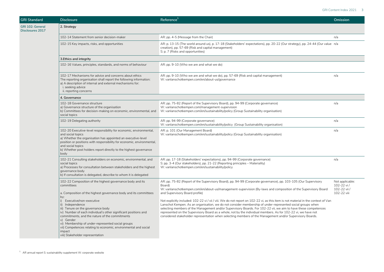| <b>GRI Standard</b>                                | <b>Disclosure</b>                                                                                                                                                                                                                                                                                                                                                                                                                                                                                                                                  | Reference <sup>1</sup>                                                                                                                                                                                                                                                                                                                                                                                                                                                                                                                                                                                                                                                                                                                                                                                                                                                            | Omission                                                     |
|----------------------------------------------------|----------------------------------------------------------------------------------------------------------------------------------------------------------------------------------------------------------------------------------------------------------------------------------------------------------------------------------------------------------------------------------------------------------------------------------------------------------------------------------------------------------------------------------------------------|-----------------------------------------------------------------------------------------------------------------------------------------------------------------------------------------------------------------------------------------------------------------------------------------------------------------------------------------------------------------------------------------------------------------------------------------------------------------------------------------------------------------------------------------------------------------------------------------------------------------------------------------------------------------------------------------------------------------------------------------------------------------------------------------------------------------------------------------------------------------------------------|--------------------------------------------------------------|
| <b>GRI 102: General</b><br><b>Disclosures 2017</b> | 2. Strategy                                                                                                                                                                                                                                                                                                                                                                                                                                                                                                                                        |                                                                                                                                                                                                                                                                                                                                                                                                                                                                                                                                                                                                                                                                                                                                                                                                                                                                                   |                                                              |
|                                                    | 102-14 Statement from senior decision-maker                                                                                                                                                                                                                                                                                                                                                                                                                                                                                                        | AR: pp. 4-5 (Message from the Chair)                                                                                                                                                                                                                                                                                                                                                                                                                                                                                                                                                                                                                                                                                                                                                                                                                                              | n/a                                                          |
|                                                    | 102-15 Key impacts, risks, and opportunities                                                                                                                                                                                                                                                                                                                                                                                                                                                                                                       | AR: p. 13-15 (The world around us), p. 17-18 (Stakeholders' expectations), pp. 20-22 (Our strategy), pp. 24-44 (Our value n/a<br>creation), pp. 57-69 (Risk and capital management)<br>S: p. 7 (Risks and opportunities)                                                                                                                                                                                                                                                                                                                                                                                                                                                                                                                                                                                                                                                          |                                                              |
|                                                    | 3. Ethics and integrity                                                                                                                                                                                                                                                                                                                                                                                                                                                                                                                            |                                                                                                                                                                                                                                                                                                                                                                                                                                                                                                                                                                                                                                                                                                                                                                                                                                                                                   |                                                              |
|                                                    | 102-16 Values, principles, standards, and norms of behaviour                                                                                                                                                                                                                                                                                                                                                                                                                                                                                       | AR: pp. 9-10 (Who we are and what we do)                                                                                                                                                                                                                                                                                                                                                                                                                                                                                                                                                                                                                                                                                                                                                                                                                                          |                                                              |
|                                                    | 102-17 Mechanisms for advice and concerns about ethics<br>The reporting organisation shall report the following information:<br>a) A description of internal and external mechanisms for:<br>i. seeking advice<br>ii. reporting concerns                                                                                                                                                                                                                                                                                                           | AR: pp. 9-10 (Who we are and what we do), pp. 57-69 (Risk and capital management)<br>W: vanlanschotkempen.com/en/about-us/governance                                                                                                                                                                                                                                                                                                                                                                                                                                                                                                                                                                                                                                                                                                                                              | n/a                                                          |
|                                                    | 4. Governance                                                                                                                                                                                                                                                                                                                                                                                                                                                                                                                                      |                                                                                                                                                                                                                                                                                                                                                                                                                                                                                                                                                                                                                                                                                                                                                                                                                                                                                   |                                                              |
|                                                    | 102-18 Governance structure<br>a) Governance structure of the organisation<br>b) Committees for decision-making on economic, environmental, and<br>social topics                                                                                                                                                                                                                                                                                                                                                                                   | AR: pp. 75-82 (Report of the Supervisory Board), pp. 94-99 (Corporate governance)<br>W: vanlanschotkempen.com/management-supervision<br>W: vanlanschotkempen.com/en/sustainability/policy (Group Sustainability organisation)                                                                                                                                                                                                                                                                                                                                                                                                                                                                                                                                                                                                                                                     | n/a                                                          |
|                                                    | 102-19 Delegating authority                                                                                                                                                                                                                                                                                                                                                                                                                                                                                                                        | AR: pp. 94-99 (Corporate governance)<br>W: vanlanschotkempen.com/en/sustainability/policy (Group Sustainability organisation)                                                                                                                                                                                                                                                                                                                                                                                                                                                                                                                                                                                                                                                                                                                                                     | n/a                                                          |
|                                                    | 102-20 Executive-level responsibility for economic, environmental,<br>and social topics<br>a) Whether the organisation has appointed an executive-level<br>position or positions with responsibility for economic, environmental,<br>and social topics<br>b) Whether post holders report directly to the highest governance<br>body                                                                                                                                                                                                                | AR: p. 101 (Our Management Board)<br>W: vanlanschotkempen.com/en/sustainability/policy (Group Sustainability organisation)                                                                                                                                                                                                                                                                                                                                                                                                                                                                                                                                                                                                                                                                                                                                                        | n/a                                                          |
|                                                    | 102-21 Consulting stakeholders on economic, environmental, and<br>social topics<br>a) Processes for consultation between stakeholders and the highest<br>governance body<br>b) If consultation is delegated, describe to whom it is delegated                                                                                                                                                                                                                                                                                                      | AR: pp. 17-18 (Stakeholders' expectations), pp. 94-99 (Corporate governance)<br>S: pp. 3-4 (Our stakeholders), pp. 21-22 (Reporting principles - Materiality)<br>W: vanlanschotkempen.com/en/sustainability/policy                                                                                                                                                                                                                                                                                                                                                                                                                                                                                                                                                                                                                                                                | n/a                                                          |
|                                                    | 102-22 Composition of the highest governance body and its<br>committees<br>a. Composition of the highest governance body and its committees<br>by:<br>i) Executive/non-executive<br>ii) Independence<br>iii) Tenure on the governance body<br>iv) Number of each individual's other significant positions and<br>commitments, and the nature of the commitments<br>v) Gender<br>vi) Membership of under-represented social groups<br>vii) Competences relating to economic, environmental and social<br>impact<br>viii) Stakeholder representation | AR: pp. 75-82 (Report of the Supervisory Board), pp. 94-99 (Corporate governance), pp. 103-105 (Our Supervisory<br>Board)<br>W: vanlanschotkempen.com/en/about-us/management-supervision (By-laws and composition of the Supervisory Board<br>and Supervisory Board profile)<br>Not explicitly included: 102-22 vi / vii / viii. We do not report on 102-22 vi, as this item is not material in the context of Van<br>Lanschot Kempen. As an organisation, we do not consider membership of under-represented social groups when<br>selecting members of the Management and/or Supervisory Boards. For 102-22 vii, we aim to have these competences<br>represented on the Supervisory Board as a whole, not by the individual members. As for 102-22 vi, we have not<br>considered stakeholder representation when selecting members of the Management and/or Supervisory Boards. | Not applicable:<br>102-22 vi/<br>102-22 vii /<br>102-22 viii |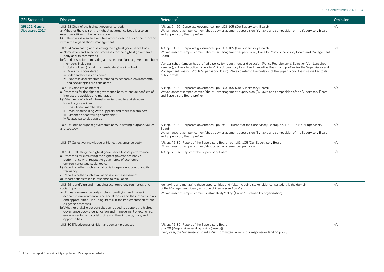| <b>GRI Standard</b>                  | <b>Disclosure</b>                                                                                                                                                                                                                                                                                                                                                                                                                                                                                                                              | Reference <sup>1</sup>                                                                                                                                                                                                                                                                                                                                                                                                                                                                                                                                                                                 | Omission |
|--------------------------------------|------------------------------------------------------------------------------------------------------------------------------------------------------------------------------------------------------------------------------------------------------------------------------------------------------------------------------------------------------------------------------------------------------------------------------------------------------------------------------------------------------------------------------------------------|--------------------------------------------------------------------------------------------------------------------------------------------------------------------------------------------------------------------------------------------------------------------------------------------------------------------------------------------------------------------------------------------------------------------------------------------------------------------------------------------------------------------------------------------------------------------------------------------------------|----------|
| GRI 102: General<br>Disclosures 2017 | 102-23 Chair of the highest governance body<br>a) Whether the chair of the highest governance body is also an<br>executive officer in the organisation<br>b) If the chair is also an executive officer, describe his or her function<br>within the organisation's management                                                                                                                                                                                                                                                                   | AR: pp. 94-99 (Corporate governance), pp. 103-105 (Our Supervisory Board)<br>W: vanlanschotkempen.com/en/about-us/management-supervision (By-laws and composition of the Supervisory Board<br>and Supervisory Board profile)                                                                                                                                                                                                                                                                                                                                                                           | n/a      |
|                                      | 102-24 Nominating and selecting the highest governance body<br>a) Nomination and selection processes for the highest governance<br>body and its committees<br>b) Criteria used for nominating and selecting highest governance body<br>members, including:<br>i. Stakeholders (including shareholders) are involved<br>ii. Diversity is considered<br>iii. Independence is considered<br>iv. Expertise and experience relating to economic, environmental<br>and social topics are considered                                                  | AR: pp. 94-99 (Corporate governance), pp. 103-105 (Our Supervisory Board)<br>W: vanlanschotkempen.com/en/about-us/management-supervision (Diversity Policy Supervisory Board and Management<br>Board)<br>Van Lanschot Kempen has drafted a policy for recruitment and selection (Policy Recruitment & Selection Van Lanschot<br>Kempen), a diversity policy (Diversity Policy Supervisory Board and Executive Board) and profiles for the Supervisory and<br>Management Boards (Profile Supervisory Board). We also refer to the by-laws of the Supervisory Board as well as to its<br>public profile. | n/a      |
|                                      | 102-25 Conflicts of interest<br>a) Processes for the highest governance body to ensure conflicts of<br>interest are avoided and managed<br>b) Whether conflicts of interest are disclosed to stakeholders,<br>including, as a minimum:<br>i. Cross-board membership<br>ii. Cross-shareholding with suppliers and other stakeholders<br>iii. Existence of controlling shareholder<br>iv.Related party disclosures                                                                                                                               | AR: pp. 94-99 (Corporate governance), pp. 103-105 (Our Supervisory Board)<br>W: vanlanschotkempen.com/en/about-us/management-supervision (By-laws and composition of the Supervisory Board<br>and Supervisory Board profile)                                                                                                                                                                                                                                                                                                                                                                           | n/a      |
|                                      | 102-26 Role of highest governance body in setting purpose, values,<br>and strategy                                                                                                                                                                                                                                                                                                                                                                                                                                                             | AR: pp. 94-99 (Corporate governance), pp. 75-82 (Report of the Supervisory Board), pp. 103-105 (Our Supervisory<br>Board)<br>W: vanlanschotkempen.com/en/about-us/management-supervision (By-laws and composition of the Supervisory Board<br>and Supervisory Board profile)                                                                                                                                                                                                                                                                                                                           | n/a      |
|                                      | 102-27 Collective knowledge of highest governance body                                                                                                                                                                                                                                                                                                                                                                                                                                                                                         | AR: pp. 75-82 (Report of the Supervisory Board), pp. 103-105 (Our Supervisory Board)<br>W: vanlanschotkempen.com/en/about-us/management-supervision                                                                                                                                                                                                                                                                                                                                                                                                                                                    | n/a      |
|                                      | 102-28 Evaluating the highest governance body's performance<br>a) Processes for evaluating the highest governance body's<br>performance with respect to governance of economic,<br>environmental and social topics<br>b) Report whether such evaluation is independent or not, and its<br>frequency<br>c) Report whether such evaluation is a self-assessment<br>d) Report actions taken in response to evaluation                                                                                                                             | AR: pp. 75-82 (Report of the Supervisory Board)                                                                                                                                                                                                                                                                                                                                                                                                                                                                                                                                                        | n/a      |
|                                      | 102-29 Identifying and managing economic, environmental, and<br>social impacts<br>a) Highest governance body's role in identifying and managing<br>economic, environmental, and social topics and their impacts, risks,<br>and opportunities - including its role in the implementation of due<br>diligence processes<br>b) Whether stakeholder consultation is used to support the highest<br>governance body's identification and management of economic,<br>environmental, and social topics and their impacts, risks, and<br>opportunities | Identifying and managing these opportunities and risks, including stakeholder consultation, is the domain<br>of the Management Board, as is due diligence (see 102-19).<br>W: vanlanschotkempen.com/en/sustainability/policy (Group Sustainability organisation)                                                                                                                                                                                                                                                                                                                                       | n/a      |
|                                      | 102-30 Effectiveness of risk management processes                                                                                                                                                                                                                                                                                                                                                                                                                                                                                              | AR: pp. 75-82 (Report of the Supervisory Board)<br>S: p. 20 (Responsible lending policy (results))<br>Every year, the Supervisory Board's Risk Committee reviews our responsible lending policy.                                                                                                                                                                                                                                                                                                                                                                                                       | n/a      |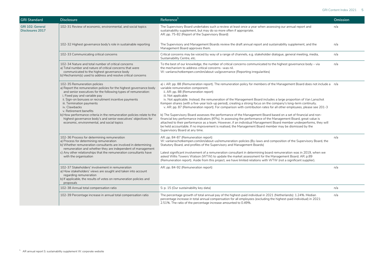| <b>GRI Standard</b>                         | <b>Disclosure</b>                                                                                                                                                                                                                                                                                                                                                                                                                                                                                                                  | Reference <sup>1</sup>                                                                                                                                                                                                                                                                                                                                                                                                                                                                                                                                                                                                                                                                                                                                                                                                                                                                                                                                                                                                                                                                                    | Omission |
|---------------------------------------------|------------------------------------------------------------------------------------------------------------------------------------------------------------------------------------------------------------------------------------------------------------------------------------------------------------------------------------------------------------------------------------------------------------------------------------------------------------------------------------------------------------------------------------|-----------------------------------------------------------------------------------------------------------------------------------------------------------------------------------------------------------------------------------------------------------------------------------------------------------------------------------------------------------------------------------------------------------------------------------------------------------------------------------------------------------------------------------------------------------------------------------------------------------------------------------------------------------------------------------------------------------------------------------------------------------------------------------------------------------------------------------------------------------------------------------------------------------------------------------------------------------------------------------------------------------------------------------------------------------------------------------------------------------|----------|
| GRI 102: General<br><b>Disclosures 2017</b> | 102-31 Review of economic, environmental, and social topics                                                                                                                                                                                                                                                                                                                                                                                                                                                                        | The Supervisory Board undertakes such a review at least once a year when assessing our annual report and<br>sustainability supplement, but may do so more often if appropriate.<br>AR: pp. 75-82 (Report of the Supervisory Board)                                                                                                                                                                                                                                                                                                                                                                                                                                                                                                                                                                                                                                                                                                                                                                                                                                                                        | n/a      |
|                                             | 102-32 Highest governance body's role in sustainable reporting                                                                                                                                                                                                                                                                                                                                                                                                                                                                     | The Supervisory and Management Boards review the draft annual report and sustainability supplement, and the<br>Management Board approves them.                                                                                                                                                                                                                                                                                                                                                                                                                                                                                                                                                                                                                                                                                                                                                                                                                                                                                                                                                            | n/a      |
|                                             | 102-33 Communicating critical concerns                                                                                                                                                                                                                                                                                                                                                                                                                                                                                             | Critical concerns may be voiced by way of a range of channels, e.g. stakeholder dialogue, general meeting, media,<br>Sustainability Centre, etc.                                                                                                                                                                                                                                                                                                                                                                                                                                                                                                                                                                                                                                                                                                                                                                                                                                                                                                                                                          | n/a      |
|                                             | 102-34 Nature and total number of critical concerns<br>a) Total number and nature of critical concerns that were<br>communicated to the highest governance body<br>b) Mechanism(s) used to address and resolve critical concerns                                                                                                                                                                                                                                                                                                   | To the best of our knowledge, the number of critical concerns communicated to the highest governance body - via<br>the mechanism to address critical concerns -was nil.<br>W: vanlanschotkempen.com/en/about-us/governance (Reporting irregularities)                                                                                                                                                                                                                                                                                                                                                                                                                                                                                                                                                                                                                                                                                                                                                                                                                                                     | n/a      |
|                                             | 102-35 Remuneration policies<br>a) Report the remuneration policies for the highest governance body<br>and senior executives for the following types of remuneration:<br>i. Fixed pay and variable pay<br>ii. Sign-on bonuses or recruitment incentive payments<br>iii. Termination payments<br>iv. Clawbacks<br>v. Retirement benefits<br>b) How performance criteria in the remuneration policies relate to the<br>highest governance body's and senior executives' objectives for<br>economic, environmental, and social topics | a) i. AR: pp. 88 (Remuneration report). The remuneration policy for members of the Management Board does not include a n/a<br>variable remuneration component.<br>ii. AR: pp. 88 (Remuneration report)<br>iii. Not applicable<br>iv. Not applicable. Instead, the remuneration of the Management Board includes a large proportion of Van Lanschot<br>Kempen shares (with a five-year lock-up period), creating a strong focus on the company's long-term continuity.<br>v. AR: pp. 87 (Remuneration report). For comparison with contribution rates for all other employees, please see 201-3<br>b) The Supervisory Board assesses the performance of the Management Board based on a set of financial and non-<br>financial key performance indicators (KPIs). In assessing the performance of the Management Board, great value is<br>attached to their performance as a team. However, if an individual Management Board member underperforms, they will<br>be held accountable. If no improvement is realised, the Management Board member may be dismissed by the<br>Supervisory Board at any time. |          |
|                                             | 102-36 Process for determining remuneration<br>a) Process for determining remuneration<br>b) Whether remuneration consultants are involved in determining<br>remuneration and whether they are independent of management<br>c) Any other relationships that the remuneration consultants have<br>with the organisation                                                                                                                                                                                                             | AR: pp. 84-87 (Remuneration report)<br>W: vanlanschotkempen.com/en/about-us/remuneration-policies (By-laws and composition of the Supervisory Board, the<br>Statutory Board, and profiles of the Supervisory and Management Boards)<br>Latest significant involvement of a remuneration consultant in determining board remuneration was in 2019, when we<br>asked Willis Towers Watson (WTW) to update the market assessment for the Management Board. AR: p.89<br>(Remuneration report). Aside from this project, we have limited relations with WTW (not a significant supplier).                                                                                                                                                                                                                                                                                                                                                                                                                                                                                                                      | n/a      |
|                                             | 102-37 Stakeholders' involvement in remuneration<br>a) How stakeholders' views are sought and taken into account<br>regarding remuneration<br>b) If applicable, the results of votes on remuneration policies and<br>proposals                                                                                                                                                                                                                                                                                                     | AR: pp. 84-92 (Remuneration report)                                                                                                                                                                                                                                                                                                                                                                                                                                                                                                                                                                                                                                                                                                                                                                                                                                                                                                                                                                                                                                                                       | n/a      |
|                                             | 102-38 Annual total compensation ratio                                                                                                                                                                                                                                                                                                                                                                                                                                                                                             | S: p. 15 (Our sustainability key data)                                                                                                                                                                                                                                                                                                                                                                                                                                                                                                                                                                                                                                                                                                                                                                                                                                                                                                                                                                                                                                                                    | n/a      |
|                                             | 102-39 Percentage increase in annual total compensation ratio                                                                                                                                                                                                                                                                                                                                                                                                                                                                      | The percentage growth of total annual pay of the highest-paid individual in 2021 (Netherlands): 1.24%. Median<br>percentage increase in total annual compensation for all employees (excluding the highest-paid individual) in 2021:<br>2.51%. The ratio of the percentage increase amounted to 0.49%.                                                                                                                                                                                                                                                                                                                                                                                                                                                                                                                                                                                                                                                                                                                                                                                                    | n/a      |

 $1.$  AR annual report S: sustainability supplement W: corporate website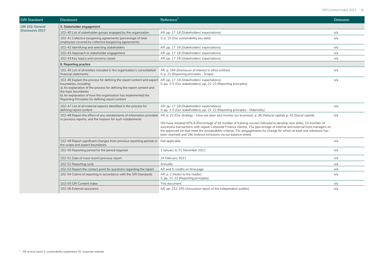| <b>GRI Standard</b> | <b>Disclosure</b>                                                                                                                                                                                                                                                                                                                                               | Reference <sup>1</sup>                                                                                                                                                                                                                                                                                                                                                                                                                                                                                                                                                    | Omission |
|---------------------|-----------------------------------------------------------------------------------------------------------------------------------------------------------------------------------------------------------------------------------------------------------------------------------------------------------------------------------------------------------------|---------------------------------------------------------------------------------------------------------------------------------------------------------------------------------------------------------------------------------------------------------------------------------------------------------------------------------------------------------------------------------------------------------------------------------------------------------------------------------------------------------------------------------------------------------------------------|----------|
| GRI 102: General    | 5. Stakeholder engagement                                                                                                                                                                                                                                                                                                                                       |                                                                                                                                                                                                                                                                                                                                                                                                                                                                                                                                                                           |          |
| Disclosures 2017    | 102-40 List of stakeholder groups engaged by the organisation                                                                                                                                                                                                                                                                                                   | AR: pp. 17-18 (Stakeholders' expectations)                                                                                                                                                                                                                                                                                                                                                                                                                                                                                                                                | n/a      |
|                     | 102-41 Collective bargaining agreements (percentage of total<br>employees covered by collective bargaining agreements)                                                                                                                                                                                                                                          | S: p. 15 (Our sustainability key data)                                                                                                                                                                                                                                                                                                                                                                                                                                                                                                                                    | n/a      |
|                     | 102-42 Identifying and selecting stakeholders                                                                                                                                                                                                                                                                                                                   | AR: pp. 17-18 (Stakeholders' expectations)                                                                                                                                                                                                                                                                                                                                                                                                                                                                                                                                | n/a      |
|                     | 102-43 Approach to stakeholder engagement                                                                                                                                                                                                                                                                                                                       | AR: pp. 17-18 (Stakeholders' expectations)                                                                                                                                                                                                                                                                                                                                                                                                                                                                                                                                | n/a      |
|                     | 102-44 Key topics and concerns raised                                                                                                                                                                                                                                                                                                                           | AR: pp. 17-18 (Stakeholders' expectations)                                                                                                                                                                                                                                                                                                                                                                                                                                                                                                                                | n/a      |
|                     | 6. Reporting practice                                                                                                                                                                                                                                                                                                                                           |                                                                                                                                                                                                                                                                                                                                                                                                                                                                                                                                                                           |          |
|                     | 102-45 List of all entities included in the organisation's consolidated<br>financial statements                                                                                                                                                                                                                                                                 | AR: p. 194 (Disclosure of interest in other entities)<br>S: p. 21 (Reporting principles - Scope)                                                                                                                                                                                                                                                                                                                                                                                                                                                                          | n/a      |
|                     | 102-46 Explain the process for defining the report content and aspect AR: pp. 17-18 (Stakeholders' expectations)<br>boundaries, including:<br>a) An explanation of the process for defining the report content and<br>the topic boundaries<br>b) An explanation of how the organisation has implemented the<br>Reporting Principles for defining report content | S: pp. 3-5 (Our stakeholders), pp. 21-23 (Reporting principles)                                                                                                                                                                                                                                                                                                                                                                                                                                                                                                           | n/a      |
|                     | 102-47 List of all material aspects identified in the process for<br>defining report content                                                                                                                                                                                                                                                                    | AR: pp. 17-18 (Stakeholders' expectations)<br>S: pp. 3-5 (Our stakeholders), pp. 21-22 (Reporting principles - Materiality)                                                                                                                                                                                                                                                                                                                                                                                                                                               | n/a      |
|                     | 102-48 Report the effect of any restatements of information provided<br>in previous reports, and the reasons for such restatements                                                                                                                                                                                                                              | AR: p. 22 (Our strategy – How we steer and monitor our business), p. 36 (Natural capital), p. 41 (Social capital)<br>We have restated KPIs 8 (Percentage of tot number of training courses followed to develop new skills), 10 (number of<br>successful transactions with repeat Corporate Finance clients), 15a (percentage of internal and external fund managers on<br>the approved list that meet the sustainability criteria), 15c (engagements for change for which at least one milestone has<br>been reached) and 16b (indirect emissions via our balance sheet). | n/a      |
|                     | 102-49 Report significant changes from previous reporting periods in Not applicable<br>the scope and aspect boundaries                                                                                                                                                                                                                                          |                                                                                                                                                                                                                                                                                                                                                                                                                                                                                                                                                                           | n/a      |
|                     | 102-50 Reporting period for the period required                                                                                                                                                                                                                                                                                                                 | 1 January to 31 December 2021                                                                                                                                                                                                                                                                                                                                                                                                                                                                                                                                             | n/a      |
|                     | 102-51 Date of most recent previous report                                                                                                                                                                                                                                                                                                                      | 24 February 2021                                                                                                                                                                                                                                                                                                                                                                                                                                                                                                                                                          | n/a      |
|                     | 102-52 Reporting cycle                                                                                                                                                                                                                                                                                                                                          | Annually                                                                                                                                                                                                                                                                                                                                                                                                                                                                                                                                                                  | n/a      |
|                     | 102-53 Report the contact point for questions regarding the report                                                                                                                                                                                                                                                                                              | AR and S: credits on final page                                                                                                                                                                                                                                                                                                                                                                                                                                                                                                                                           | n/a      |
|                     | 102-54 Claims of reporting in accordance with the GRI Standards                                                                                                                                                                                                                                                                                                 | AR: p. 2 (Notes to the reader)<br>S: pp. 21-23 (Reporting principles)                                                                                                                                                                                                                                                                                                                                                                                                                                                                                                     | n/a      |
|                     | 102-55 GRI Content Index                                                                                                                                                                                                                                                                                                                                        | This document                                                                                                                                                                                                                                                                                                                                                                                                                                                                                                                                                             | n/a      |
|                     | 102-56 External assurance                                                                                                                                                                                                                                                                                                                                       | AR: pp. 252-255 (Assurance report of the independent auditor)                                                                                                                                                                                                                                                                                                                                                                                                                                                                                                             | n/a      |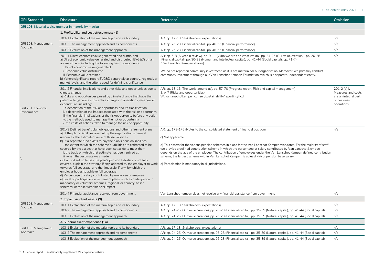**GRI Standard Disclosure Reference<sup>1</sup> Omission**

|  | GRI 103: Material topics (number in materiality matrix) |
|--|---------------------------------------------------------|
|--|---------------------------------------------------------|

|                                  | GRI 103: Material topics (number in materiality matrix)                                                                                                                                                                                                                                                                                                                                                                                                                                                                                                                                                                                                                                                                                                                                                                                                                                                                                                                                                                                                                             |                                                                                                                                                                                                                                                                                                                                                                                                                                                                                                                                                                         |                                                                                            |  |
|----------------------------------|-------------------------------------------------------------------------------------------------------------------------------------------------------------------------------------------------------------------------------------------------------------------------------------------------------------------------------------------------------------------------------------------------------------------------------------------------------------------------------------------------------------------------------------------------------------------------------------------------------------------------------------------------------------------------------------------------------------------------------------------------------------------------------------------------------------------------------------------------------------------------------------------------------------------------------------------------------------------------------------------------------------------------------------------------------------------------------------|-------------------------------------------------------------------------------------------------------------------------------------------------------------------------------------------------------------------------------------------------------------------------------------------------------------------------------------------------------------------------------------------------------------------------------------------------------------------------------------------------------------------------------------------------------------------------|--------------------------------------------------------------------------------------------|--|
|                                  | 1. Profitability and cost effectiveness (1)                                                                                                                                                                                                                                                                                                                                                                                                                                                                                                                                                                                                                                                                                                                                                                                                                                                                                                                                                                                                                                         |                                                                                                                                                                                                                                                                                                                                                                                                                                                                                                                                                                         |                                                                                            |  |
| GRI 103: Management<br>Approach  | 103-1 Explanation of the material topic and its boundary                                                                                                                                                                                                                                                                                                                                                                                                                                                                                                                                                                                                                                                                                                                                                                                                                                                                                                                                                                                                                            | AR: pp. 17-18 (Stakeholders' expectations)                                                                                                                                                                                                                                                                                                                                                                                                                                                                                                                              | n/a                                                                                        |  |
|                                  | 103-2 The management approach and its components                                                                                                                                                                                                                                                                                                                                                                                                                                                                                                                                                                                                                                                                                                                                                                                                                                                                                                                                                                                                                                    | AR: pp. 26-28 (Financial capital), pp. 46-55 (Financial performance)                                                                                                                                                                                                                                                                                                                                                                                                                                                                                                    | n/a                                                                                        |  |
|                                  | 103-3 Evaluation of the management approach                                                                                                                                                                                                                                                                                                                                                                                                                                                                                                                                                                                                                                                                                                                                                                                                                                                                                                                                                                                                                                         | AR: pp. 26-28 (Financial capital), pp. 46-55 (Financial performance)                                                                                                                                                                                                                                                                                                                                                                                                                                                                                                    | n/a                                                                                        |  |
|                                  | 201-1 Direct economic value generated and distributed<br>a) Direct economic value generated and distributed (EVG&D) on an<br>accruals basis, including the following basic components:<br>i. Direct economic value generated<br>ii. Economic value distributed<br>iii. Economic value retained<br>b) Where significant, report EVG&D separately at country, regional, or<br>market levels, and the criteria used for defining significance.                                                                                                                                                                                                                                                                                                                                                                                                                                                                                                                                                                                                                                         | AR: pp. 6-8 (A year in review), pp. 9-11 (Who we are and what we do), pp. 24-25 (Our value creation), pp. 26-28<br>(Financial capital), pp. 30-33 (Human and intellectual capital), pp. 41-44 (Social capital), pp. 71-74<br>(Van Lanschot Kempen shares)<br>We do not report on community investment, as it is not material for our organisation. Moreover, we primarily conduct<br>community investment through our Van Lanschot Kempen Foundation, which is a separate, independent entity.                                                                          | n/a                                                                                        |  |
| GRI 201: Economic<br>Performance | 201-2 Financial implications and other risks and opportunities due to<br>climate change<br>a) Risks and opportunities posed by climate change that have the<br>potential to generate substantive changes in operations, revenue, or<br>expenditure, including:<br>i. a description of the risk or opportunity and its classification<br>ii. a description of the impact associated with the risk or opportunity<br>iii. the financial implications of the risk/opportunity before any action<br>iv. the methods used to manage the risk or opportunity<br>v. the costs of actions taken to manage the risk or opportunity                                                                                                                                                                                                                                                                                                                                                                                                                                                           | AR: pp. 13-16 (The world around us), pp. 57-70 (Progress report; Risk and capital management)<br>S: p. 7 (Risks and opportunities)<br>W: vanlanschotkempen.com/en/sustainability/reporting/tfcd                                                                                                                                                                                                                                                                                                                                                                         | 201-2 (a) iv -<br>Measures and costs<br>are an integral part<br>of business<br>operations. |  |
|                                  | 201-3 Defined benefit plan obligations and other retirement plans<br>a) If the plan's liabilities are met by the organisation's general<br>resources, the estimated value of those liabilities<br>b) If a separate fund exists to pay the plan's pension liabilities:<br>i. the extent to which the scheme's liabilities are estimated to be<br>covered by the assets that have been set aside to meet them<br>ii. the basis on which that estimate has been arrived at<br>iii. when that estimate was made<br>c) If a fund set up to pay the plan's pension liabilities is not fully<br>covered, explain the strategy, if any, adopted by the employer to work e) Participation is mandatory in all jurisdictions.<br>towards full coverage, and the timescale, if any, by which the<br>employer hopes to achieve full coverage<br>d) Percentage of salary contributed by employee or employer<br>e) Level of participation in retirement plans, such as participation in<br>mandatory or voluntary schemes, regional, or country-based<br>schemes, or those with financial impact | AR: pp. 173-176 (Notes to the consolidated statement of financial position)<br>c) Not applicable<br>d) This differs for the various pension schemes in place for the Van Lanschot Kempen workforce. For the majority of staff<br>we provide a defined contribution scheme in which the percentage of salary contributed by Van Lanschot Kempen<br>depends on the age of the employee. The contribution of employees under the Van Lanschot Kempen defined contribution<br>scheme, the largest scheme within Van Lanschot Kempen, is at least 4% of pension base salary. | n/a                                                                                        |  |
|                                  | 201-4 Financial assistance received from government                                                                                                                                                                                                                                                                                                                                                                                                                                                                                                                                                                                                                                                                                                                                                                                                                                                                                                                                                                                                                                 | Van Lanschot Kempen does not receive any financial assistance from government.                                                                                                                                                                                                                                                                                                                                                                                                                                                                                          | n/a                                                                                        |  |
|                                  | 2. Impact via client assets (9)                                                                                                                                                                                                                                                                                                                                                                                                                                                                                                                                                                                                                                                                                                                                                                                                                                                                                                                                                                                                                                                     |                                                                                                                                                                                                                                                                                                                                                                                                                                                                                                                                                                         |                                                                                            |  |
| GRI 103: Management<br>Approach  | 103-1 Explanation of the material topic and its boundary                                                                                                                                                                                                                                                                                                                                                                                                                                                                                                                                                                                                                                                                                                                                                                                                                                                                                                                                                                                                                            | AR: pp. 17-18 (Stakeholders' expectations)                                                                                                                                                                                                                                                                                                                                                                                                                                                                                                                              | n/a                                                                                        |  |
|                                  | 103-2 The management approach and its components                                                                                                                                                                                                                                                                                                                                                                                                                                                                                                                                                                                                                                                                                                                                                                                                                                                                                                                                                                                                                                    | AR: pp. 24-25 (Our value creation), pp. 26-28 (Financial capital), pp. 35-39 (Natural capital), pp. 41-44 (Social capital)                                                                                                                                                                                                                                                                                                                                                                                                                                              | n/a                                                                                        |  |
|                                  | 103-3 Evaluation of the management approach                                                                                                                                                                                                                                                                                                                                                                                                                                                                                                                                                                                                                                                                                                                                                                                                                                                                                                                                                                                                                                         | AR: pp. 24-25 (Our value creation), pp. 26-28 (Financial capital), pp. 35-39 (Natural capital), pp. 41-44 (Social capital)                                                                                                                                                                                                                                                                                                                                                                                                                                              | n/a                                                                                        |  |
|                                  | 3. Superior client experience (14)                                                                                                                                                                                                                                                                                                                                                                                                                                                                                                                                                                                                                                                                                                                                                                                                                                                                                                                                                                                                                                                  |                                                                                                                                                                                                                                                                                                                                                                                                                                                                                                                                                                         |                                                                                            |  |
| GRI 103: Management              | 103-1 Explanation of the material topic and its boundary                                                                                                                                                                                                                                                                                                                                                                                                                                                                                                                                                                                                                                                                                                                                                                                                                                                                                                                                                                                                                            | AR: pp. 17-18 (Stakeholders' expectations)                                                                                                                                                                                                                                                                                                                                                                                                                                                                                                                              | n/a                                                                                        |  |
| Approach                         | 103-2 The management approach and its components                                                                                                                                                                                                                                                                                                                                                                                                                                                                                                                                                                                                                                                                                                                                                                                                                                                                                                                                                                                                                                    | AR: pp. 24-25 (Our value creation), pp. 26-28 (Financial capital), pp. 35-39 (Natural capital), pp. 41-44 (Social capital)                                                                                                                                                                                                                                                                                                                                                                                                                                              | n/a                                                                                        |  |
|                                  | 103-3 Evaluation of the management approach                                                                                                                                                                                                                                                                                                                                                                                                                                                                                                                                                                                                                                                                                                                                                                                                                                                                                                                                                                                                                                         | AR: pp. 24-25 (Our value creation), pp. 26-28 (Financial capital), pp. 35-39 (Natural capital), pp. 41-44 (Social capital)                                                                                                                                                                                                                                                                                                                                                                                                                                              | n/a                                                                                        |  |

 $1.$  AR annual report S: sustainability supplement W: corporate website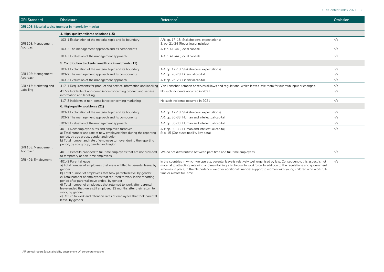| GRI 103: Material topics (number in materiality matrix) |                                                                                                                                                                                                                                                                                                                                                                                                                                                                                                                                                                                |                                                                                                                                                                                                                                                                                                                                                                                                                |     |  |  |
|---------------------------------------------------------|--------------------------------------------------------------------------------------------------------------------------------------------------------------------------------------------------------------------------------------------------------------------------------------------------------------------------------------------------------------------------------------------------------------------------------------------------------------------------------------------------------------------------------------------------------------------------------|----------------------------------------------------------------------------------------------------------------------------------------------------------------------------------------------------------------------------------------------------------------------------------------------------------------------------------------------------------------------------------------------------------------|-----|--|--|
|                                                         | $\vert$ 4. High-quality, tailored solutions (15)                                                                                                                                                                                                                                                                                                                                                                                                                                                                                                                               |                                                                                                                                                                                                                                                                                                                                                                                                                |     |  |  |
| GRI 103: Management<br>Approach                         | 103-1 Explanation of the material topic and its boundary                                                                                                                                                                                                                                                                                                                                                                                                                                                                                                                       | AR: pp. 17-18 (Stakeholders' expectations)<br>S: pp. 21-24 (Reporting principles)                                                                                                                                                                                                                                                                                                                              | n/a |  |  |
|                                                         | 103-2 The management approach and its components                                                                                                                                                                                                                                                                                                                                                                                                                                                                                                                               | AR: p. 41-44 (Social capital)                                                                                                                                                                                                                                                                                                                                                                                  | n/a |  |  |
|                                                         | 103-3 Evaluation of the management approach                                                                                                                                                                                                                                                                                                                                                                                                                                                                                                                                    | AR: p. 41-44 (Social capital)                                                                                                                                                                                                                                                                                                                                                                                  | n/a |  |  |
|                                                         | 5. Contribution to clients' wealth via investments (17)                                                                                                                                                                                                                                                                                                                                                                                                                                                                                                                        |                                                                                                                                                                                                                                                                                                                                                                                                                |     |  |  |
|                                                         | 103-1 Explanation of the material topic and its boundary                                                                                                                                                                                                                                                                                                                                                                                                                                                                                                                       | AR: pp. 17-18 (Stakeholders' expectations)                                                                                                                                                                                                                                                                                                                                                                     | n/a |  |  |
| GRI 103: Management                                     | 103-2 The management approach and its components                                                                                                                                                                                                                                                                                                                                                                                                                                                                                                                               | AR: pp. 26-28 (Financial capital)                                                                                                                                                                                                                                                                                                                                                                              | n/a |  |  |
| Approach                                                | 103-3 Evaluation of the management approach                                                                                                                                                                                                                                                                                                                                                                                                                                                                                                                                    | AR: pp. 26-28 (Financial capital)                                                                                                                                                                                                                                                                                                                                                                              | n/a |  |  |
| GRI 417: Marketing and                                  | 417-1 Requirements for product and service information and labelling                                                                                                                                                                                                                                                                                                                                                                                                                                                                                                           | Van Lanschot Kempen observes all laws and regulations, which leaves little room for our own input or changes.                                                                                                                                                                                                                                                                                                  | n/a |  |  |
| Labelling                                               | 417-2 Incidents of non-compliance concerning product and service<br>information and labelling                                                                                                                                                                                                                                                                                                                                                                                                                                                                                  | No such incidents occurred in 2021                                                                                                                                                                                                                                                                                                                                                                             | n/a |  |  |
|                                                         | 417-3 Incidents of non-compliance concerning marketing                                                                                                                                                                                                                                                                                                                                                                                                                                                                                                                         | No such incidents occurred in 2021                                                                                                                                                                                                                                                                                                                                                                             | n/a |  |  |
|                                                         | 6. High-quality workforce (21)                                                                                                                                                                                                                                                                                                                                                                                                                                                                                                                                                 |                                                                                                                                                                                                                                                                                                                                                                                                                |     |  |  |
|                                                         | 103-1 Explanation of the material topic and its boundary                                                                                                                                                                                                                                                                                                                                                                                                                                                                                                                       | AR: pp. 17-18 (Stakeholders' expectations)                                                                                                                                                                                                                                                                                                                                                                     | n/a |  |  |
|                                                         | 103-2 The management approach and its components                                                                                                                                                                                                                                                                                                                                                                                                                                                                                                                               | AR: pp. 30-33 (Human and intellectual capital)                                                                                                                                                                                                                                                                                                                                                                 | n/a |  |  |
|                                                         | 103-3 Evaluation of the management approach                                                                                                                                                                                                                                                                                                                                                                                                                                                                                                                                    | AR: pp. 30-33 (Human and intellectual capital)                                                                                                                                                                                                                                                                                                                                                                 | n/a |  |  |
| GRI 103: Management<br>Approach<br>GRI 401: Employment  | 401-1 New employee hires and employee turnover<br>a) Total number and rate of new employee hires during the reporting<br>period, by age group, gender and region<br>b) Total number and rate of employee turnover during the reporting<br>period, by age group, gender and region                                                                                                                                                                                                                                                                                              | AR: pp. 30-33 (Human and intellectual capital)<br>S: p. 15 (Our sustainability key data)                                                                                                                                                                                                                                                                                                                       | n/a |  |  |
|                                                         | 401-2 Benefits provided to full-time employees that are not provided<br>to temporary or part-time employees                                                                                                                                                                                                                                                                                                                                                                                                                                                                    | We do not differentiate between part-time and full-time employees.                                                                                                                                                                                                                                                                                                                                             | n/a |  |  |
|                                                         | 401-3 Parental leave<br>a) Total number of employees that were entitled to parental leave, by<br>aender<br>b) Total number of employees that took parental leave, by gender<br>$\vert$ c) Total number of employees that returned to work in the reporting<br>period after parental leave ended, by gender<br>d) Total number of employees that returned to work after parental<br>leave ended that were still employed 12 months after their return to<br>work, by gender<br>$\mid$ e) Return to work and retention rates of employees that took parental<br>leave, by gender | In the countries in which we operate, parental leave is relatively well organised by law. Consequently, this aspect is not<br>material to attracting, retaining and maintaining a high-quality workforce. In addition to the regulations and government<br>schemes in place, in the Netherlands we offer additional financial support to women with young children who work full-<br>time or almost full-time. | n/a |  |  |